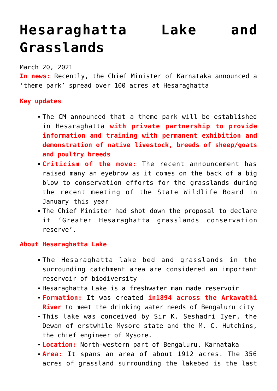# **[Hesaraghatta Lake and](https://journalsofindia.com/hesaraghatta-lake-and-grasslands/) [Grasslands](https://journalsofindia.com/hesaraghatta-lake-and-grasslands/)**

March 20, 2021

**In news:** Recently, the Chief Minister of Karnataka announced a 'theme park' spread over 100 acres at Hesaraghatta

#### **Key updates**

- The CM announced that a theme park will be established in Hesaraghatta **with private partnership to provide information and training with permanent exhibition and demonstration of native livestock, breeds of sheep/goats and poultry breeds**
- **Criticism of the move:** The recent announcement has raised many an eyebrow as it comes on the back of a big blow to conservation efforts for the grasslands during the recent meeting of the State Wildlife Board in January this year
- The Chief Minister had shot down the proposal to declare it 'Greater Hesaraghatta grasslands conservation reserve'.

## **About Hesaraghatta Lake**

- The Hesaraghatta lake bed and grasslands in the surrounding catchment area are considered an important reservoir of biodiversity
- Hesaraghatta Lake is a freshwater man made reservoir
- **Formation:** It was created **in1894 across the Arkavathi River** to meet the drinking water needs of Bengaluru city
- This lake was conceived by Sir K. Seshadri Iyer, the Dewan of erstwhile Mysore state and the M. C. Hutchins, the chief engineer of Mysore.
- **Location:** North-western part of Bengaluru, Karnataka
- **Area:** It spans an area of about 1912 acres. The 356 acres of grassland surrounding the lakebed is the last